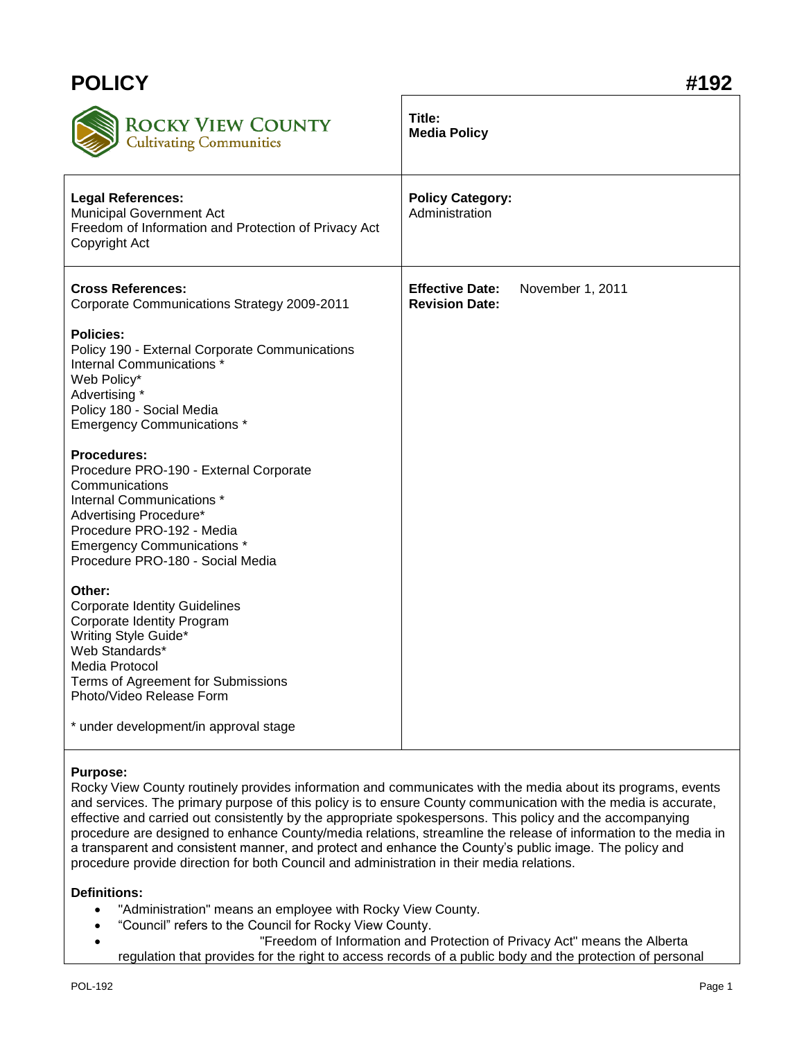| <b>POLICY</b>                                                                                                                                                                                                                               | #192                                                                |
|---------------------------------------------------------------------------------------------------------------------------------------------------------------------------------------------------------------------------------------------|---------------------------------------------------------------------|
| <b>ROCKY VIEW COUNTY</b><br><b>Cultivating Communities</b>                                                                                                                                                                                  | Title:<br><b>Media Policy</b>                                       |
| <b>Legal References:</b><br><b>Municipal Government Act</b><br>Freedom of Information and Protection of Privacy Act<br>Copyright Act                                                                                                        | <b>Policy Category:</b><br>Administration                           |
| <b>Cross References:</b><br>Corporate Communications Strategy 2009-2011                                                                                                                                                                     | <b>Effective Date:</b><br>November 1, 2011<br><b>Revision Date:</b> |
| <b>Policies:</b><br>Policy 190 - External Corporate Communications<br>Internal Communications <sup>*</sup><br>Web Policy*<br>Advertising *<br>Policy 180 - Social Media<br><b>Emergency Communications *</b>                                |                                                                     |
| <b>Procedures:</b><br>Procedure PRO-190 - External Corporate<br>Communications<br>Internal Communications *<br>Advertising Procedure*<br>Procedure PRO-192 - Media<br><b>Emergency Communications *</b><br>Procedure PRO-180 - Social Media |                                                                     |
| Other:<br><b>Corporate Identity Guidelines</b><br>Corporate Identity Program<br>Writing Style Guide*<br>Web Standards*<br>Media Protocol<br>Terms of Agreement for Submissions<br>Photo/Video Release Form                                  |                                                                     |
| * under development/in approval stage                                                                                                                                                                                                       |                                                                     |

## **Purpose:**

Rocky View County routinely provides information and communicates with the media about its programs, events and services. The primary purpose of this policy is to ensure County communication with the media is accurate, effective and carried out consistently by the appropriate spokespersons. This policy and the accompanying procedure are designed to enhance County/media relations, streamline the release of information to the media in a transparent and consistent manner, and protect and enhance the County's public image. The policy and procedure provide direction for both Council and administration in their media relations.

## **Definitions:**

- "Administration" means an employee with Rocky View County.
- "Council" refers to the Council for Rocky View County.
- "Freedom of Information and Protection of Privacy Act" means the Alberta regulation that provides for the right to access records of a public body and the protection of personal